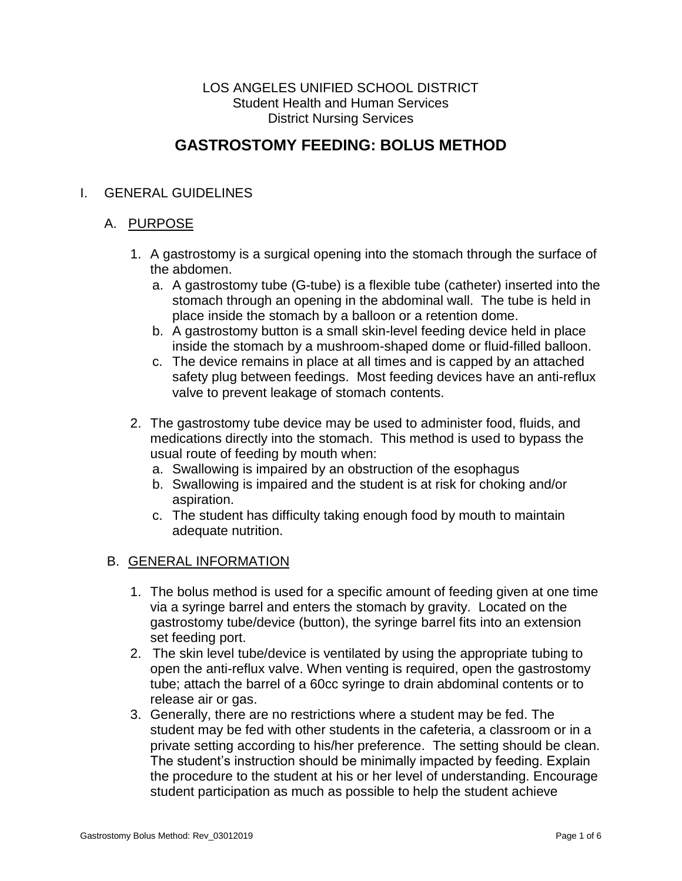#### LOS ANGELES UNIFIED SCHOOL DISTRICT Student Health and Human Services District Nursing Services

# **GASTROSTOMY FEEDING: BOLUS METHOD**

### I. GENERAL GUIDELINES

#### A. PURPOSE

- 1. A gastrostomy is a surgical opening into the stomach through the surface of the abdomen.
	- a. A gastrostomy tube (G-tube) is a flexible tube (catheter) inserted into the stomach through an opening in the abdominal wall. The tube is held in place inside the stomach by a balloon or a retention dome.
	- b. A gastrostomy button is a small skin-level feeding device held in place inside the stomach by a mushroom-shaped dome or fluid-filled balloon.
	- c. The device remains in place at all times and is capped by an attached safety plug between feedings. Most feeding devices have an anti-reflux valve to prevent leakage of stomach contents.
- 2. The gastrostomy tube device may be used to administer food, fluids, and medications directly into the stomach. This method is used to bypass the usual route of feeding by mouth when:
	- a. Swallowing is impaired by an obstruction of the esophagus
	- b. Swallowing is impaired and the student is at risk for choking and/or aspiration.
	- c. The student has difficulty taking enough food by mouth to maintain adequate nutrition.

#### B. GENERAL INFORMATION

- 1. The bolus method is used for a specific amount of feeding given at one time via a syringe barrel and enters the stomach by gravity. Located on the gastrostomy tube/device (button), the syringe barrel fits into an extension set feeding port.
- 2. The skin level tube/device is ventilated by using the appropriate tubing to open the anti-reflux valve. When venting is required, open the gastrostomy tube; attach the barrel of a 60cc syringe to drain abdominal contents or to release air or gas.
- 3. Generally, there are no restrictions where a student may be fed. The student may be fed with other students in the cafeteria, a classroom or in a private setting according to his/her preference. The setting should be clean. The student's instruction should be minimally impacted by feeding. Explain the procedure to the student at his or her level of understanding. Encourage student participation as much as possible to help the student achieve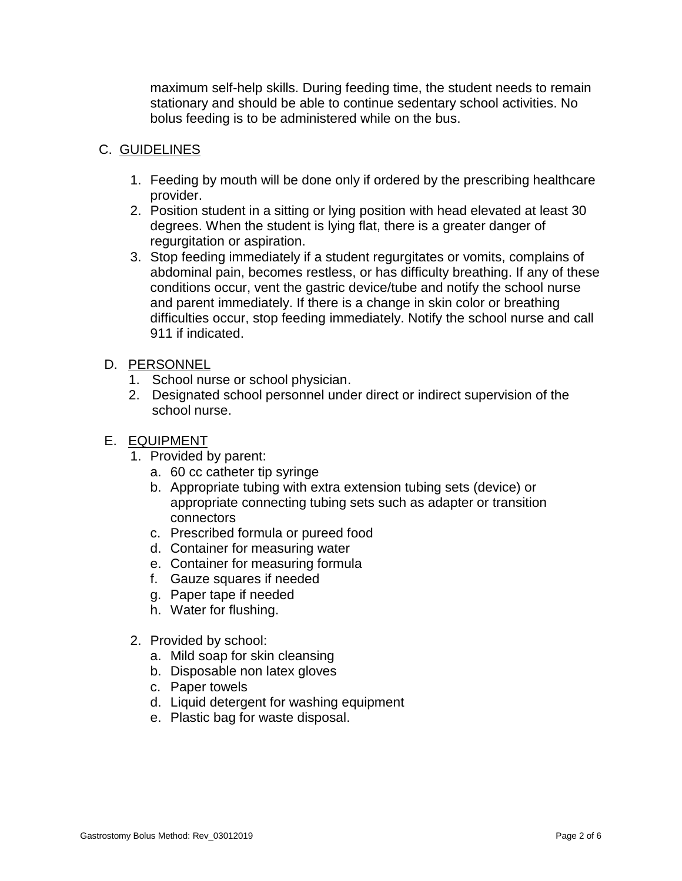maximum self-help skills. During feeding time, the student needs to remain stationary and should be able to continue sedentary school activities. No bolus feeding is to be administered while on the bus.

### C. GUIDELINES

- 1. Feeding by mouth will be done only if ordered by the prescribing healthcare provider.
- 2. Position student in a sitting or lying position with head elevated at least 30 degrees. When the student is lying flat, there is a greater danger of regurgitation or aspiration.
- 3. Stop feeding immediately if a student regurgitates or vomits, complains of abdominal pain, becomes restless, or has difficulty breathing. If any of these conditions occur, vent the gastric device/tube and notify the school nurse and parent immediately. If there is a change in skin color or breathing difficulties occur, stop feeding immediately. Notify the school nurse and call 911 if indicated.

#### D. PERSONNEL

- 1. School nurse or school physician.
- 2. Designated school personnel under direct or indirect supervision of the school nurse.
- E. EQUIPMENT
	- 1. Provided by parent:
		- a. 60 cc catheter tip syringe
		- b. Appropriate tubing with extra extension tubing sets (device) or appropriate connecting tubing sets such as adapter or transition connectors
		- c. Prescribed formula or pureed food
		- d. Container for measuring water
		- e. Container for measuring formula
		- f. Gauze squares if needed
		- g. Paper tape if needed
		- h. Water for flushing.
	- 2. Provided by school:
		- a. Mild soap for skin cleansing
		- b. Disposable non latex gloves
		- c. Paper towels
		- d. Liquid detergent for washing equipment
		- e. Plastic bag for waste disposal.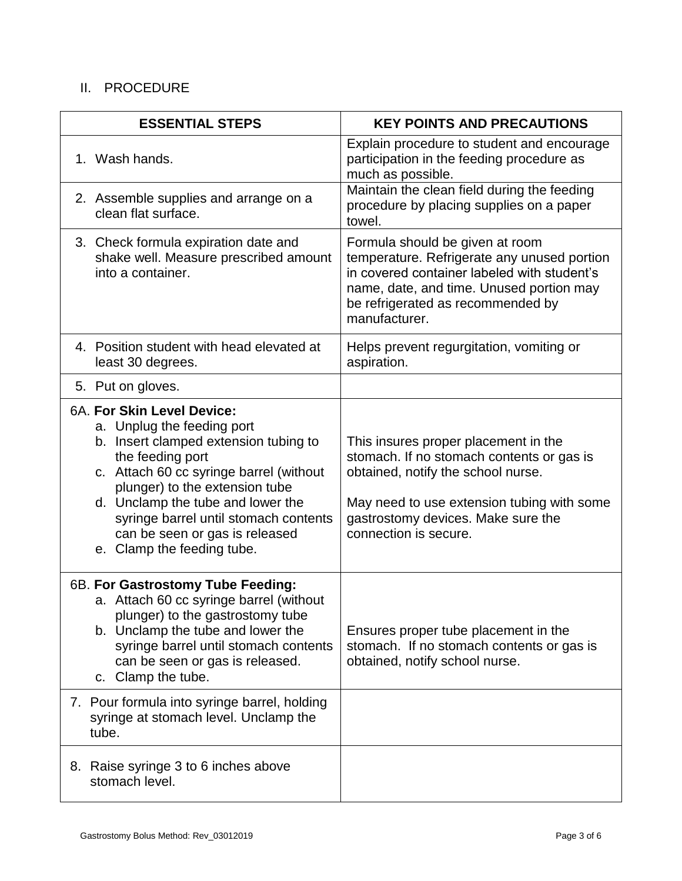## II. PROCEDURE

| <b>ESSENTIAL STEPS</b>                                                                                                                                                                                                                                                                                                                           | <b>KEY POINTS AND PRECAUTIONS</b>                                                                                                                                                                                                    |
|--------------------------------------------------------------------------------------------------------------------------------------------------------------------------------------------------------------------------------------------------------------------------------------------------------------------------------------------------|--------------------------------------------------------------------------------------------------------------------------------------------------------------------------------------------------------------------------------------|
| 1. Wash hands.                                                                                                                                                                                                                                                                                                                                   | Explain procedure to student and encourage<br>participation in the feeding procedure as<br>much as possible.                                                                                                                         |
| 2. Assemble supplies and arrange on a<br>clean flat surface.                                                                                                                                                                                                                                                                                     | Maintain the clean field during the feeding<br>procedure by placing supplies on a paper<br>towel.                                                                                                                                    |
| 3. Check formula expiration date and<br>shake well. Measure prescribed amount<br>into a container.                                                                                                                                                                                                                                               | Formula should be given at room<br>temperature. Refrigerate any unused portion<br>in covered container labeled with student's<br>name, date, and time. Unused portion may<br>be refrigerated as recommended by<br>manufacturer.      |
| 4. Position student with head elevated at<br>least 30 degrees.                                                                                                                                                                                                                                                                                   | Helps prevent regurgitation, vomiting or<br>aspiration.                                                                                                                                                                              |
| 5. Put on gloves.                                                                                                                                                                                                                                                                                                                                |                                                                                                                                                                                                                                      |
| 6A. For Skin Level Device:<br>a. Unplug the feeding port<br>b. Insert clamped extension tubing to<br>the feeding port<br>c. Attach 60 cc syringe barrel (without<br>plunger) to the extension tube<br>d. Unclamp the tube and lower the<br>syringe barrel until stomach contents<br>can be seen or gas is released<br>e. Clamp the feeding tube. | This insures proper placement in the<br>stomach. If no stomach contents or gas is<br>obtained, notify the school nurse.<br>May need to use extension tubing with some<br>gastrostomy devices. Make sure the<br>connection is secure. |
| 6B. For Gastrostomy Tube Feeding:<br>a. Attach 60 cc syringe barrel (without<br>plunger) to the gastrostomy tube<br>b. Unclamp the tube and lower the<br>syringe barrel until stomach contents<br>can be seen or gas is released.<br>c. Clamp the tube.                                                                                          | Ensures proper tube placement in the<br>stomach. If no stomach contents or gas is<br>obtained, notify school nurse.                                                                                                                  |
| 7. Pour formula into syringe barrel, holding<br>syringe at stomach level. Unclamp the<br>tube.                                                                                                                                                                                                                                                   |                                                                                                                                                                                                                                      |
| 8. Raise syringe 3 to 6 inches above<br>stomach level.                                                                                                                                                                                                                                                                                           |                                                                                                                                                                                                                                      |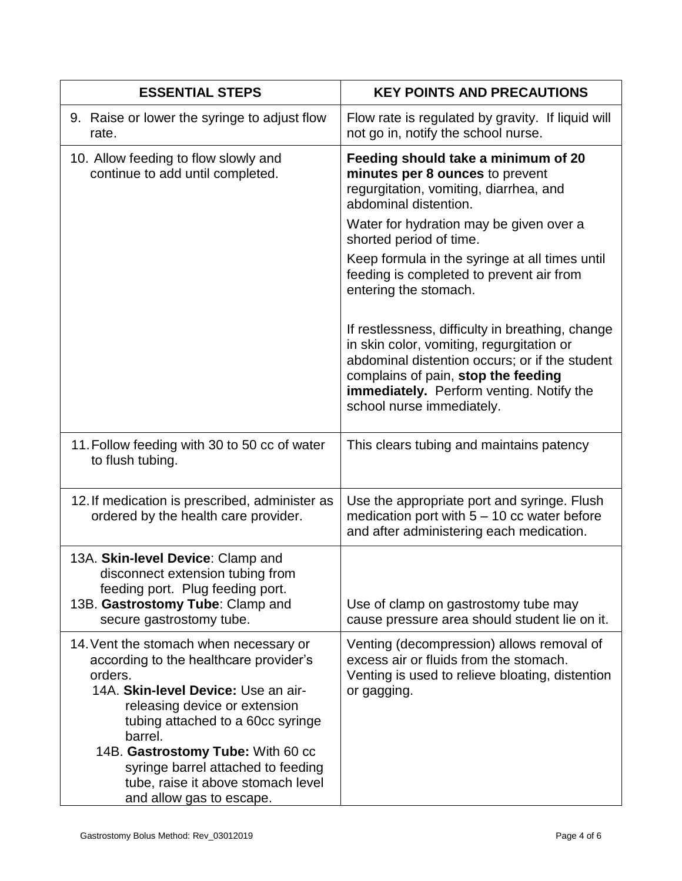| <b>ESSENTIAL STEPS</b>                                                                                                                                                                                                                                                                                                                                           | <b>KEY POINTS AND PRECAUTIONS</b>                                                                                                                                                                                                                               |
|------------------------------------------------------------------------------------------------------------------------------------------------------------------------------------------------------------------------------------------------------------------------------------------------------------------------------------------------------------------|-----------------------------------------------------------------------------------------------------------------------------------------------------------------------------------------------------------------------------------------------------------------|
| 9. Raise or lower the syringe to adjust flow<br>rate.                                                                                                                                                                                                                                                                                                            | Flow rate is regulated by gravity. If liquid will<br>not go in, notify the school nurse.                                                                                                                                                                        |
| 10. Allow feeding to flow slowly and<br>continue to add until completed.                                                                                                                                                                                                                                                                                         | Feeding should take a minimum of 20<br>minutes per 8 ounces to prevent<br>regurgitation, vomiting, diarrhea, and<br>abdominal distention.<br>Water for hydration may be given over a                                                                            |
|                                                                                                                                                                                                                                                                                                                                                                  | shorted period of time.                                                                                                                                                                                                                                         |
|                                                                                                                                                                                                                                                                                                                                                                  | Keep formula in the syringe at all times until<br>feeding is completed to prevent air from<br>entering the stomach.                                                                                                                                             |
|                                                                                                                                                                                                                                                                                                                                                                  | If restlessness, difficulty in breathing, change<br>in skin color, vomiting, regurgitation or<br>abdominal distention occurs; or if the student<br>complains of pain, stop the feeding<br>immediately. Perform venting. Notify the<br>school nurse immediately. |
| 11. Follow feeding with 30 to 50 cc of water<br>to flush tubing.                                                                                                                                                                                                                                                                                                 | This clears tubing and maintains patency                                                                                                                                                                                                                        |
| 12. If medication is prescribed, administer as<br>ordered by the health care provider.                                                                                                                                                                                                                                                                           | Use the appropriate port and syringe. Flush<br>medication port with $5 - 10$ cc water before<br>and after administering each medication.                                                                                                                        |
| 13A. Skin-level Device: Clamp and<br>disconnect extension tubing from<br>feeding port. Plug feeding port.                                                                                                                                                                                                                                                        |                                                                                                                                                                                                                                                                 |
| 13B. Gastrostomy Tube: Clamp and<br>secure gastrostomy tube.                                                                                                                                                                                                                                                                                                     | Use of clamp on gastrostomy tube may<br>cause pressure area should student lie on it.                                                                                                                                                                           |
| 14. Vent the stomach when necessary or<br>according to the healthcare provider's<br>orders.<br>14A. Skin-level Device: Use an air-<br>releasing device or extension<br>tubing attached to a 60cc syringe<br>barrel.<br>14B. Gastrostomy Tube: With 60 cc<br>syringe barrel attached to feeding<br>tube, raise it above stomach level<br>and allow gas to escape. | Venting (decompression) allows removal of<br>excess air or fluids from the stomach.<br>Venting is used to relieve bloating, distention<br>or gagging.                                                                                                           |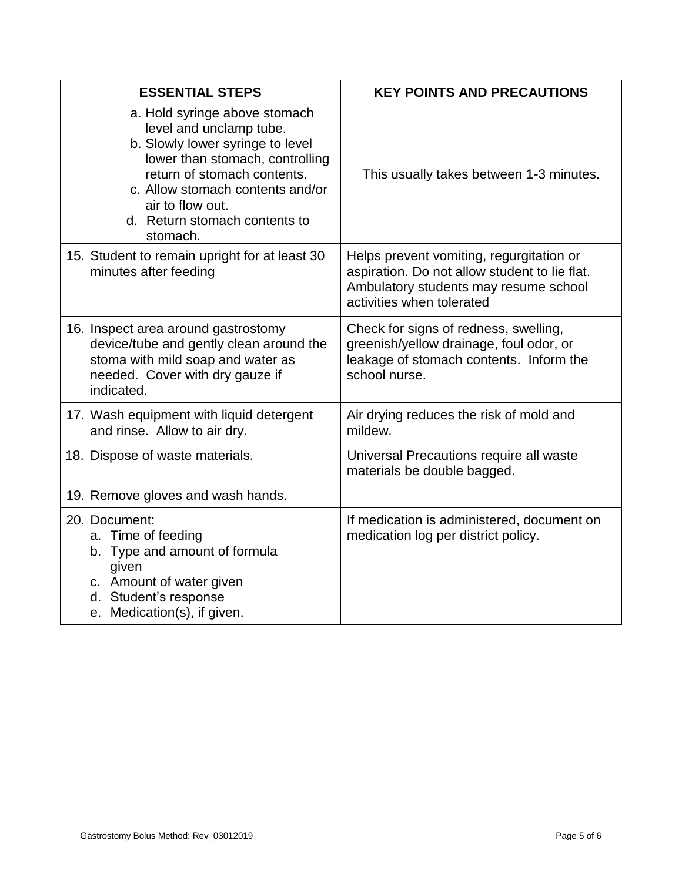| <b>ESSENTIAL STEPS</b>                                                                                                                                                                                                                                              | <b>KEY POINTS AND PRECAUTIONS</b>                                                                                                                               |
|---------------------------------------------------------------------------------------------------------------------------------------------------------------------------------------------------------------------------------------------------------------------|-----------------------------------------------------------------------------------------------------------------------------------------------------------------|
| a. Hold syringe above stomach<br>level and unclamp tube.<br>b. Slowly lower syringe to level<br>lower than stomach, controlling<br>return of stomach contents.<br>c. Allow stomach contents and/or<br>air to flow out.<br>d. Return stomach contents to<br>stomach. | This usually takes between 1-3 minutes.                                                                                                                         |
| 15. Student to remain upright for at least 30<br>minutes after feeding                                                                                                                                                                                              | Helps prevent vomiting, regurgitation or<br>aspiration. Do not allow student to lie flat.<br>Ambulatory students may resume school<br>activities when tolerated |
| 16. Inspect area around gastrostomy<br>device/tube and gently clean around the<br>stoma with mild soap and water as<br>needed. Cover with dry gauze if<br>indicated.                                                                                                | Check for signs of redness, swelling,<br>greenish/yellow drainage, foul odor, or<br>leakage of stomach contents. Inform the<br>school nurse.                    |
| 17. Wash equipment with liquid detergent<br>and rinse. Allow to air dry.                                                                                                                                                                                            | Air drying reduces the risk of mold and<br>mildew.                                                                                                              |
| 18. Dispose of waste materials.                                                                                                                                                                                                                                     | Universal Precautions require all waste<br>materials be double bagged.                                                                                          |
| 19. Remove gloves and wash hands.                                                                                                                                                                                                                                   |                                                                                                                                                                 |
| 20. Document:<br>a. Time of feeding<br>b. Type and amount of formula<br>given<br>c. Amount of water given<br>d. Student's response<br>e. Medication(s), if given.                                                                                                   | If medication is administered, document on<br>medication log per district policy.                                                                               |